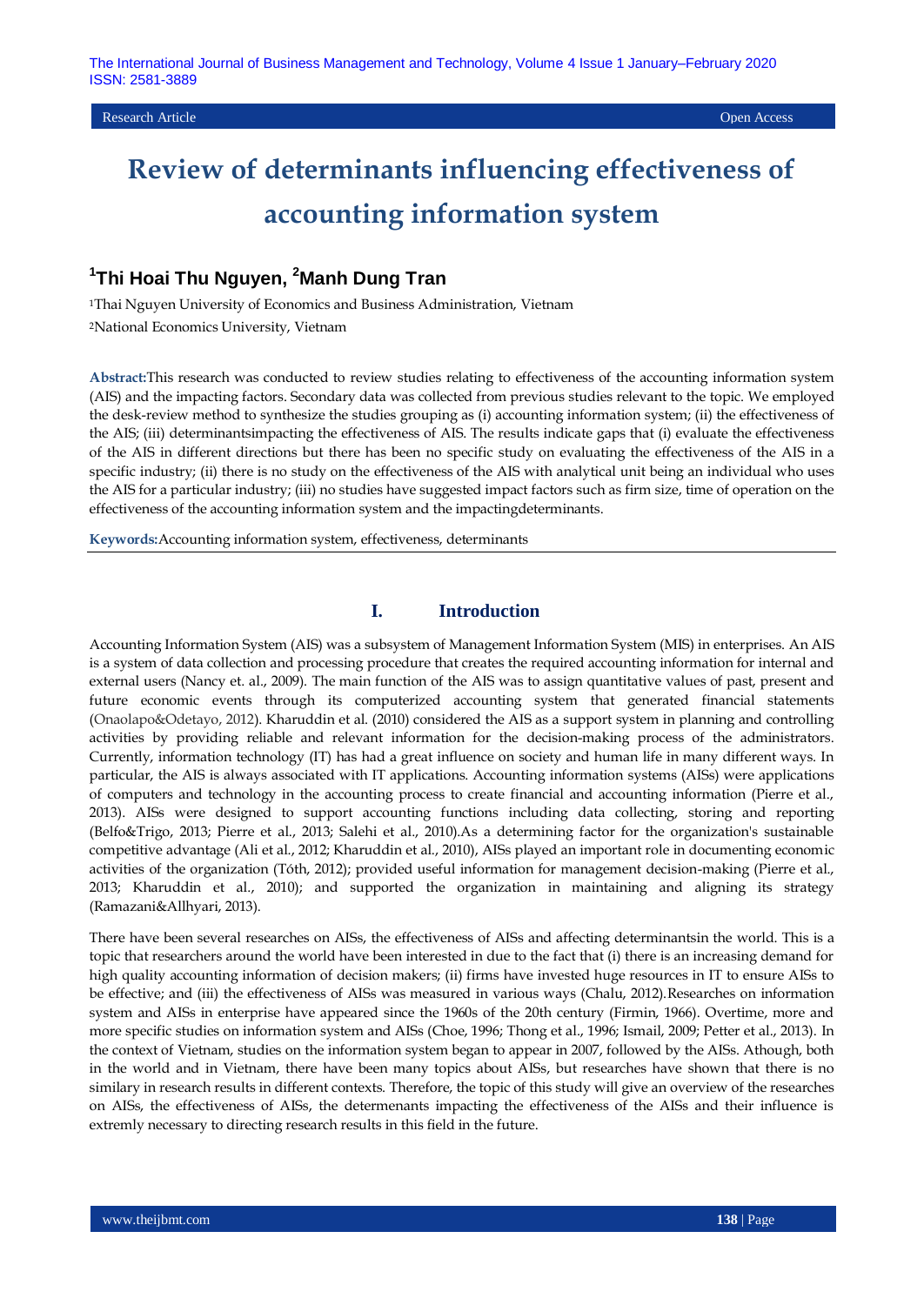## **1 Thi Hoai Thu Nguyen, <sup>2</sup>Manh Dung Tran**

<sup>1</sup>Thai Nguyen University of Economics and Business Administration, Vietnam <sup>2</sup>National Economics University, Vietnam

**Abstract:**This research was conducted to review studies relating to effectiveness of the accounting information system (AIS) and the impacting factors. Secondary data was collected from previous studies relevant to the topic. We employed the desk-review method to synthesize the studies grouping as (i) accounting information system; (ii) the effectiveness of the AIS; (iii) determinantsimpacting the effectiveness of AIS. The results indicate gaps that (i) evaluate the effectiveness of the AIS in different directions but there has been no specific study on evaluating the effectiveness of the AIS in a specific industry; (ii) there is no study on the effectiveness of the AIS with analytical unit being an individual who uses the AIS for a particular industry; (iii) no studies have suggested impact factors such as firm size, time of operation on the effectiveness of the accounting information system and the impactingdeterminants.

**Keywords:**Accounting information system, effectiveness, determinants

## **I. Introduction**

Accounting Information System (AIS) was a subsystem of Management Information System (MIS) in enterprises. An AIS is a system of data collection and processing procedure that creates the required accounting information for internal and external users (Nancy et. al., 2009). The main function of the AIS was to assign quantitative values of past, present and future economic events through its computerized accounting system that generated financial statements (Onaolapo&Odetayo, 2012). Kharuddin et al. (2010) considered the AIS as a support system in planning and controlling activities by providing reliable and relevant information for the decision-making process of the administrators. Currently, information technology (IT) has had a great influence on society and human life in many different ways. In particular, the AIS is always associated with IT applications. Accounting information systems (AISs) were applications of computers and technology in the accounting process to create financial and accounting information (Pierre et al., 2013). AISs were designed to support accounting functions including data collecting, storing and reporting (Belfo&Trigo, 2013; Pierre et al., 2013; Salehi et al., 2010).As a determining factor for the organization's sustainable competitive advantage (Ali et al., 2012; Kharuddin et al., 2010), AISs played an important role in documenting economic activities of the organization (Tóth, 2012); provided useful information for management decision-making (Pierre et al., 2013; Kharuddin et al., 2010); and supported the organization in maintaining and aligning its strategy (Ramazani&Allhyari, 2013).

There have been several researches on AISs, the effectiveness of AISs and affecting determinantsin the world. This is a topic that researchers around the world have been interested in due to the fact that (i) there is an increasing demand for high quality accounting information of decision makers; (ii) firms have invested huge resources in IT to ensure AISs to be effective; and (iii) the effectiveness of AISs was measured in various ways (Chalu, 2012).Researches on information system and AISs in enterprise have appeared since the 1960s of the 20th century (Firmin, 1966). Overtime, more and more specific studies on information system and AISs (Choe, 1996; Thong et al., 1996; Ismail, 2009; Petter et al., 2013). In the context of Vietnam, studies on the information system began to appear in 2007, followed by the AISs. Athough, both in the world and in Vietnam, there have been many topics about AISs, but researches have shown that there is no similary in research results in different contexts. Therefore, the topic of this study will give an overview of the researches on AISs, the effectiveness of AISs, the determenants impacting the effectiveness of the AISs and their influence is extremly necessary to directing research results in this field in the future.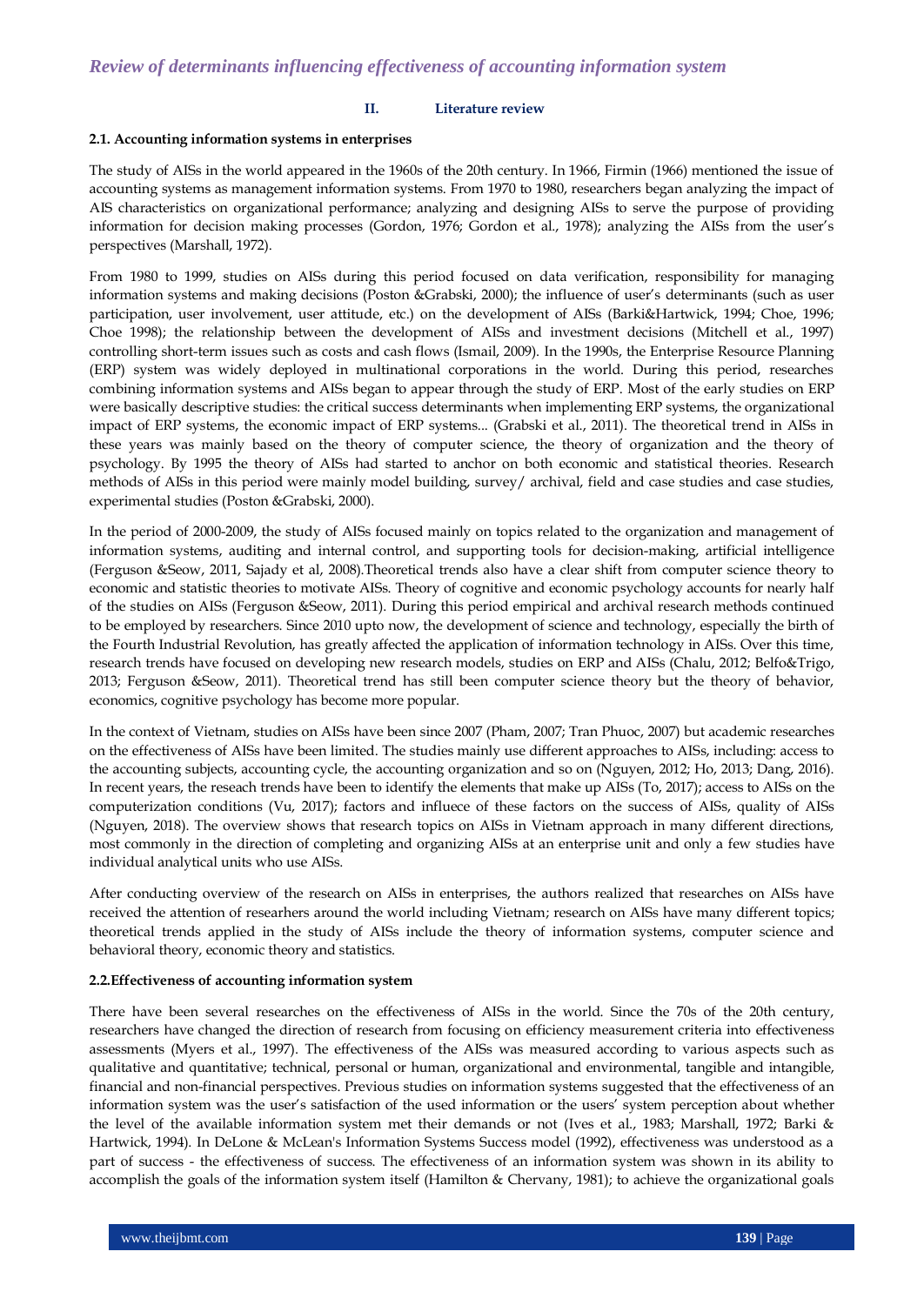#### **II. Literature review**

#### **2.1. Accounting information systems in enterprises**

The study of AISs in the world appeared in the 1960s of the 20th century. In 1966, Firmin (1966) mentioned the issue of accounting systems as management information systems. From 1970 to 1980, researchers began analyzing the impact of AIS characteristics on organizational performance; analyzing and designing AISs to serve the purpose of providing information for decision making processes (Gordon, 1976; Gordon et al., 1978); analyzing the AISs from the user's perspectives (Marshall, 1972).

From 1980 to 1999, studies on AISs during this period focused on data verification, responsibility for managing information systems and making decisions (Poston &Grabski, 2000); the influence of user"s determinants (such as user participation, user involvement, user attitude, etc.) on the development of AISs (Barki&Hartwick, 1994; Choe, 1996; Choe 1998); the relationship between the development of AISs and investment decisions (Mitchell et al., 1997) controlling short-term issues such as costs and cash flows (Ismail, 2009). In the 1990s, the Enterprise Resource Planning (ERP) system was widely deployed in multinational corporations in the world. During this period, researches combining information systems and AISs began to appear through the study of ERP. Most of the early studies on ERP were basically descriptive studies: the critical success determinants when implementing ERP systems, the organizational impact of ERP systems, the economic impact of ERP systems... (Grabski et al., 2011). The theoretical trend in AISs in these years was mainly based on the theory of computer science, the theory of organization and the theory of psychology. By 1995 the theory of AISs had started to anchor on both economic and statistical theories. Research methods of AISs in this period were mainly model building, survey/ archival, field and case studies and case studies, experimental studies (Poston &Grabski, 2000).

In the period of 2000-2009, the study of AISs focused mainly on topics related to the organization and management of information systems, auditing and internal control, and supporting tools for decision-making, artificial intelligence (Ferguson &Seow, 2011, Sajady et al, 2008).Theoretical trends also have a clear shift from computer science theory to economic and statistic theories to motivate AISs. Theory of cognitive and economic psychology accounts for nearly half of the studies on AISs (Ferguson &Seow, 2011). During this period empirical and archival research methods continued to be employed by researchers. Since 2010 upto now, the development of science and technology, especially the birth of the Fourth Industrial Revolution, has greatly affected the application of information technology in AISs. Over this time, research trends have focused on developing new research models, studies on ERP and AISs (Chalu, 2012; Belfo&Trigo, 2013; Ferguson &Seow, 2011). Theoretical trend has still been computer science theory but the theory of behavior, economics, cognitive psychology has become more popular.

In the context of Vietnam, studies on AISs have been since 2007 (Pham, 2007; Tran Phuoc, 2007) but academic researches on the effectiveness of AISs have been limited. The studies mainly use different approaches to AISs, including: access to the accounting subjects, accounting cycle, the accounting organization and so on (Nguyen, 2012; Ho, 2013; Dang, 2016). In recent years, the reseach trends have been to identify the elements that make up AISs (To, 2017); access to AISs on the computerization conditions (Vu, 2017); factors and influece of these factors on the success of AISs, quality of AISs (Nguyen, 2018). The overview shows that research topics on AISs in Vietnam approach in many different directions, most commonly in the direction of completing and organizing AISs at an enterprise unit and only a few studies have individual analytical units who use AISs.

After conducting overview of the research on AISs in enterprises, the authors realized that researches on AISs have received the attention of researhers around the world including Vietnam; research on AISs have many different topics; theoretical trends applied in the study of AISs include the theory of information systems, computer science and behavioral theory, economic theory and statistics.

#### **2.2.Effectiveness of accounting information system**

There have been several researches on the effectiveness of AISs in the world. Since the 70s of the 20th century, researchers have changed the direction of research from focusing on efficiency measurement criteria into effectiveness assessments (Myers et al., 1997). The effectiveness of the AISs was measured according to various aspects such as qualitative and quantitative; technical, personal or human, organizational and environmental, tangible and intangible, financial and non-financial perspectives. Previous studies on information systems suggested that the effectiveness of an information system was the user"s satisfaction of the used information or the users" system perception about whether the level of the available information system met their demands or not (Ives et al., 1983; Marshall, 1972; Barki & Hartwick, 1994). In DeLone & McLean's Information Systems Success model (1992), effectiveness was understood as a part of success - the effectiveness of success. The effectiveness of an information system was shown in its ability to accomplish the goals of the information system itself (Hamilton & Chervany, 1981); to achieve the organizational goals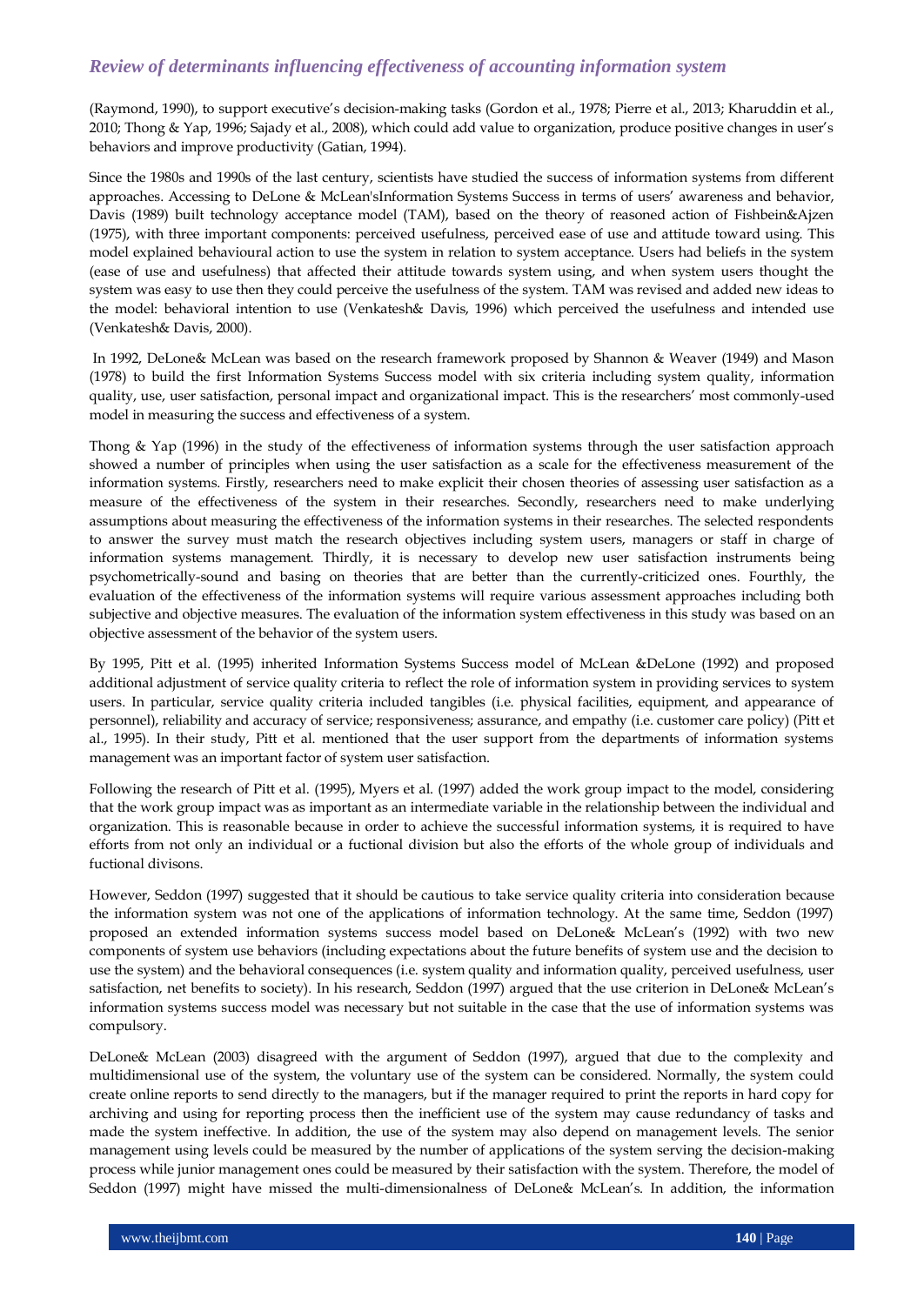(Raymond, 1990), to support executive"s decision-making tasks (Gordon et al., 1978; Pierre et al., 2013; Kharuddin et al., 2010; Thong & Yap, 1996; Sajady et al., 2008), which could add value to organization, produce positive changes in user"s behaviors and improve productivity (Gatian, 1994).

Since the 1980s and 1990s of the last century, scientists have studied the success of information systems from different approaches. Accessing to DeLone & McLean'sInformation Systems Success in terms of users" awareness and behavior, Davis (1989) built technology acceptance model (TAM), based on the theory of reasoned action of Fishbein&Ajzen (1975), with three important components: perceived usefulness, perceived ease of use and attitude toward using. This model explained behavioural action to use the system in relation to system acceptance. Users had beliefs in the system (ease of use and usefulness) that affected their attitude towards system using, and when system users thought the system was easy to use then they could perceive the usefulness of the system. TAM was revised and added new ideas to the model: behavioral intention to use (Venkatesh& Davis, 1996) which perceived the usefulness and intended use (Venkatesh& Davis, 2000).

In 1992, DeLone& McLean was based on the research framework proposed by Shannon & Weaver (1949) and Mason (1978) to build the first Information Systems Success model with six criteria including system quality, information quality, use, user satisfaction, personal impact and organizational impact. This is the researchers" most commonly-used model in measuring the success and effectiveness of a system.

Thong & Yap (1996) in the study of the effectiveness of information systems through the user satisfaction approach showed a number of principles when using the user satisfaction as a scale for the effectiveness measurement of the information systems. Firstly, researchers need to make explicit their chosen theories of assessing user satisfaction as a measure of the effectiveness of the system in their researches. Secondly, researchers need to make underlying assumptions about measuring the effectiveness of the information systems in their researches. The selected respondents to answer the survey must match the research objectives including system users, managers or staff in charge of information systems management. Thirdly, it is necessary to develop new user satisfaction instruments being psychometrically-sound and basing on theories that are better than the currently-criticized ones. Fourthly, the evaluation of the effectiveness of the information systems will require various assessment approaches including both subjective and objective measures. The evaluation of the information system effectiveness in this study was based on an objective assessment of the behavior of the system users.

By 1995, Pitt et al. (1995) inherited Information Systems Success model of McLean &DeLone (1992) and proposed additional adjustment of service quality criteria to reflect the role of information system in providing services to system users. In particular, service quality criteria included tangibles (i.e. physical facilities, equipment, and appearance of personnel), reliability and accuracy of service; responsiveness; assurance, and empathy (i.e. customer care policy) (Pitt et al., 1995). In their study, Pitt et al. mentioned that the user support from the departments of information systems management was an important factor of system user satisfaction.

Following the research of Pitt et al. (1995), Myers et al. (1997) added the work group impact to the model, considering that the work group impact was as important as an intermediate variable in the relationship between the individual and organization. This is reasonable because in order to achieve the successful information systems, it is required to have efforts from not only an individual or a fuctional division but also the efforts of the whole group of individuals and fuctional divisons.

However, Seddon (1997) suggested that it should be cautious to take service quality criteria into consideration because the information system was not one of the applications of information technology. At the same time, Seddon (1997) proposed an extended information systems success model based on DeLone& McLean"s (1992) with two new components of system use behaviors (including expectations about the future benefits of system use and the decision to use the system) and the behavioral consequences (i.e. system quality and information quality, perceived usefulness, user satisfaction, net benefits to society). In his research, Seddon (1997) argued that the use criterion in DeLone& McLean"s information systems success model was necessary but not suitable in the case that the use of information systems was compulsory.

DeLone& McLean (2003) disagreed with the argument of Seddon (1997), argued that due to the complexity and multidimensional use of the system, the voluntary use of the system can be considered. Normally, the system could create online reports to send directly to the managers, but if the manager required to print the reports in hard copy for archiving and using for reporting process then the inefficient use of the system may cause redundancy of tasks and made the system ineffective. In addition, the use of the system may also depend on management levels. The senior management using levels could be measured by the number of applications of the system serving the decision-making process while junior management ones could be measured by their satisfaction with the system. Therefore, the model of Seddon (1997) might have missed the multi-dimensionalness of DeLone& McLean"s. In addition, the information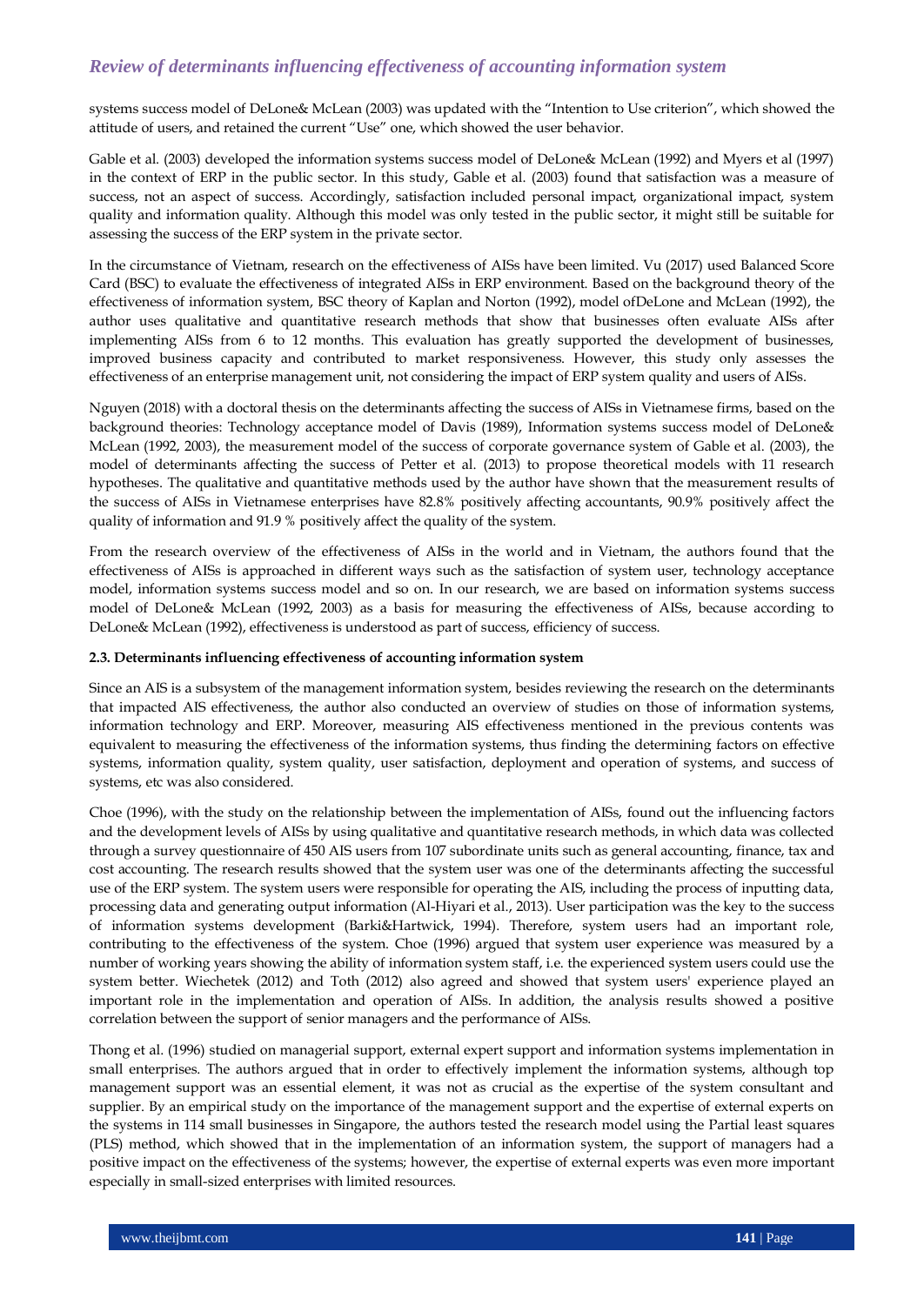systems success model of DeLone& McLean (2003) was updated with the "Intention to Use criterion", which showed the attitude of users, and retained the current "Use" one, which showed the user behavior.

Gable et al. (2003) developed the information systems success model of DeLone& McLean (1992) and Myers et al (1997) in the context of ERP in the public sector. In this study, Gable et al. (2003) found that satisfaction was a measure of success, not an aspect of success. Accordingly, satisfaction included personal impact, organizational impact, system quality and information quality. Although this model was only tested in the public sector, it might still be suitable for assessing the success of the ERP system in the private sector.

In the circumstance of Vietnam, research on the effectiveness of AISs have been limited. Vu (2017) used Balanced Score Card (BSC) to evaluate the effectiveness of integrated AISs in ERP environment. Based on the background theory of the effectiveness of information system, BSC theory of Kaplan and Norton (1992), model ofDeLone and McLean (1992), the author uses qualitative and quantitative research methods that show that businesses often evaluate AISs after implementing AISs from 6 to 12 months. This evaluation has greatly supported the development of businesses, improved business capacity and contributed to market responsiveness. However, this study only assesses the effectiveness of an enterprise management unit, not considering the impact of ERP system quality and users of AISs.

Nguyen (2018) with a doctoral thesis on the determinants affecting the success of AISs in Vietnamese firms, based on the background theories: Technology acceptance model of Davis (1989), Information systems success model of DeLone& McLean (1992, 2003), the measurement model of the success of corporate governance system of Gable et al. (2003), the model of determinants affecting the success of Petter et al. (2013) to propose theoretical models with 11 research hypotheses. The qualitative and quantitative methods used by the author have shown that the measurement results of the success of AISs in Vietnamese enterprises have 82.8% positively affecting accountants, 90.9% positively affect the quality of information and 91.9 % positively affect the quality of the system.

From the research overview of the effectiveness of AISs in the world and in Vietnam, the authors found that the effectiveness of AISs is approached in different ways such as the satisfaction of system user, technology acceptance model, information systems success model and so on. In our research, we are based on information systems success model of DeLone& McLean (1992, 2003) as a basis for measuring the effectiveness of AISs, because according to DeLone& McLean (1992), effectiveness is understood as part of success, efficiency of success.

#### **2.3. Determinants influencing effectiveness of accounting information system**

Since an AIS is a subsystem of the management information system, besides reviewing the research on the determinants that impacted AIS effectiveness, the author also conducted an overview of studies on those of information systems, information technology and ERP. Moreover, measuring AIS effectiveness mentioned in the previous contents was equivalent to measuring the effectiveness of the information systems, thus finding the determining factors on effective systems, information quality, system quality, user satisfaction, deployment and operation of systems, and success of systems, etc was also considered.

Choe (1996), with the study on the relationship between the implementation of AISs, found out the influencing factors and the development levels of AISs by using qualitative and quantitative research methods, in which data was collected through a survey questionnaire of 450 AIS users from 107 subordinate units such as general accounting, finance, tax and cost accounting. The research results showed that the system user was one of the determinants affecting the successful use of the ERP system. The system users were responsible for operating the AIS, including the process of inputting data, processing data and generating output information (Al-Hiyari et al., 2013). User participation was the key to the success of information systems development (Barki&Hartwick, 1994). Therefore, system users had an important role, contributing to the effectiveness of the system. Choe (1996) argued that system user experience was measured by a number of working years showing the ability of information system staff, i.e. the experienced system users could use the system better. Wiechetek (2012) and Toth (2012) also agreed and showed that system users' experience played an important role in the implementation and operation of AISs. In addition, the analysis results showed a positive correlation between the support of senior managers and the performance of AISs.

Thong et al. (1996) studied on managerial support, external expert support and information systems implementation in small enterprises. The authors argued that in order to effectively implement the information systems, although top management support was an essential element, it was not as crucial as the expertise of the system consultant and supplier. By an empirical study on the importance of the management support and the expertise of external experts on the systems in 114 small businesses in Singapore, the authors tested the research model using the Partial least squares (PLS) method, which showed that in the implementation of an information system, the support of managers had a positive impact on the effectiveness of the systems; however, the expertise of external experts was even more important especially in small-sized enterprises with limited resources.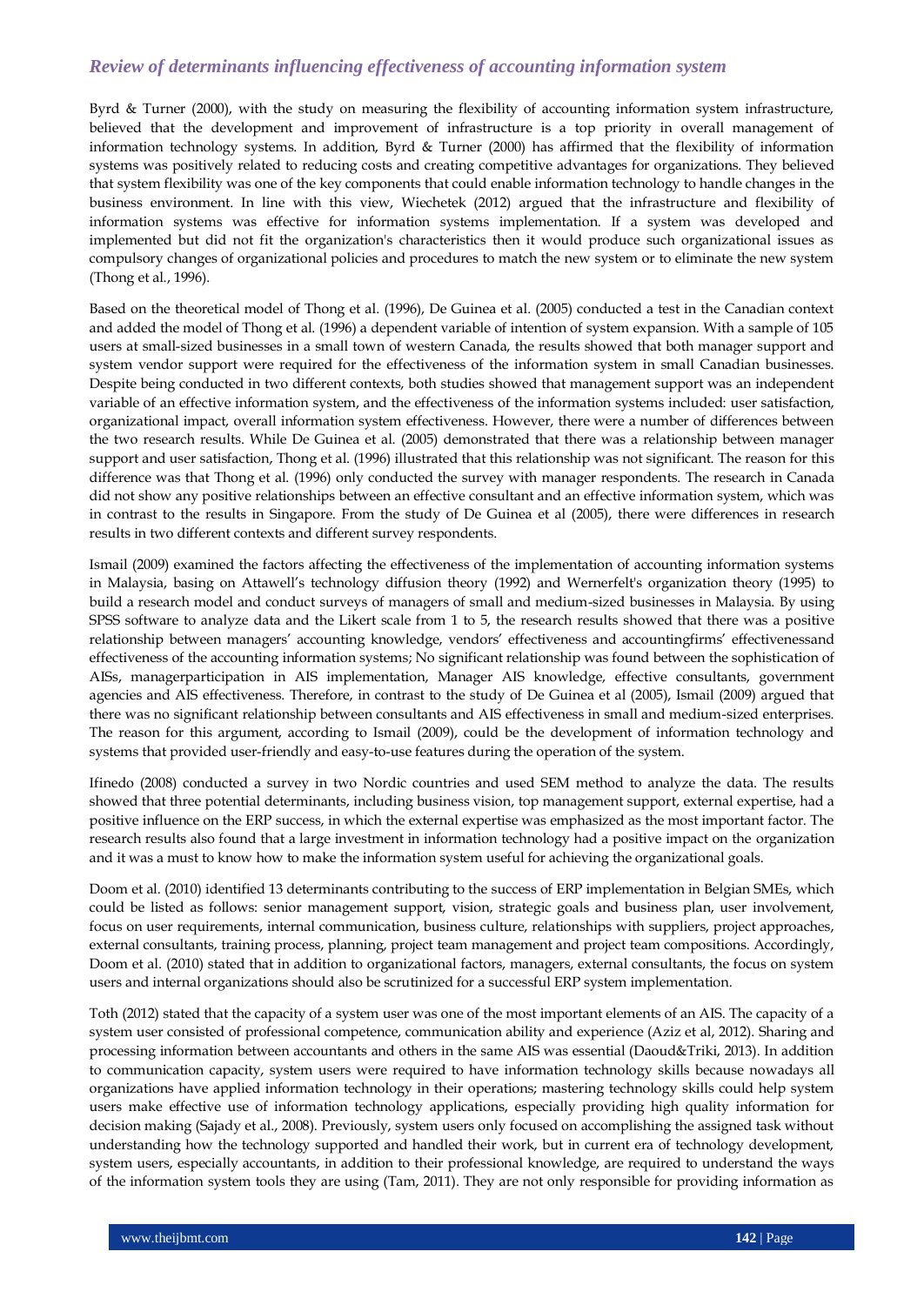Byrd & Turner (2000), with the study on measuring the flexibility of accounting information system infrastructure, believed that the development and improvement of infrastructure is a top priority in overall management of information technology systems. In addition, Byrd & Turner (2000) has affirmed that the flexibility of information systems was positively related to reducing costs and creating competitive advantages for organizations. They believed that system flexibility was one of the key components that could enable information technology to handle changes in the business environment. In line with this view, Wiechetek (2012) argued that the infrastructure and flexibility of information systems was effective for information systems implementation. If a system was developed and implemented but did not fit the organization's characteristics then it would produce such organizational issues as compulsory changes of organizational policies and procedures to match the new system or to eliminate the new system (Thong et al., 1996).

Based on the theoretical model of Thong et al. (1996), De Guinea et al. (2005) conducted a test in the Canadian context and added the model of Thong et al. (1996) a dependent variable of intention of system expansion. With a sample of 105 users at small-sized businesses in a small town of western Canada, the results showed that both manager support and system vendor support were required for the effectiveness of the information system in small Canadian businesses. Despite being conducted in two different contexts, both studies showed that management support was an independent variable of an effective information system, and the effectiveness of the information systems included: user satisfaction, organizational impact, overall information system effectiveness. However, there were a number of differences between the two research results. While De Guinea et al. (2005) demonstrated that there was a relationship between manager support and user satisfaction, Thong et al. (1996) illustrated that this relationship was not significant. The reason for this difference was that Thong et al. (1996) only conducted the survey with manager respondents. The research in Canada did not show any positive relationships between an effective consultant and an effective information system, which was in contrast to the results in Singapore. From the study of De Guinea et al (2005), there were differences in research results in two different contexts and different survey respondents.

Ismail (2009) examined the factors affecting the effectiveness of the implementation of accounting information systems in Malaysia, basing on Attawell"s technology diffusion theory (1992) and Wernerfelt's organization theory (1995) to build a research model and conduct surveys of managers of small and medium-sized businesses in Malaysia. By using SPSS software to analyze data and the Likert scale from 1 to 5, the research results showed that there was a positive relationship between managers" accounting knowledge, vendors" effectiveness and accountingfirms" effectivenessand effectiveness of the accounting information systems; No significant relationship was found between the sophistication of AISs, managerparticipation in AIS implementation, Manager AIS knowledge, effective consultants, government agencies and AIS effectiveness. Therefore, in contrast to the study of De Guinea et al (2005), Ismail (2009) argued that there was no significant relationship between consultants and AIS effectiveness in small and medium-sized enterprises. The reason for this argument, according to Ismail (2009), could be the development of information technology and systems that provided user-friendly and easy-to-use features during the operation of the system.

Ifinedo (2008) conducted a survey in two Nordic countries and used SEM method to analyze the data. The results showed that three potential determinants, including business vision, top management support, external expertise, had a positive influence on the ERP success, in which the external expertise was emphasized as the most important factor. The research results also found that a large investment in information technology had a positive impact on the organization and it was a must to know how to make the information system useful for achieving the organizational goals.

Doom et al. (2010) identified 13 determinants contributing to the success of ERP implementation in Belgian SMEs, which could be listed as follows: senior management support, vision, strategic goals and business plan, user involvement, focus on user requirements, internal communication, business culture, relationships with suppliers, project approaches, external consultants, training process, planning, project team management and project team compositions. Accordingly, Doom et al. (2010) stated that in addition to organizational factors, managers, external consultants, the focus on system users and internal organizations should also be scrutinized for a successful ERP system implementation.

Toth (2012) stated that the capacity of a system user was one of the most important elements of an AIS. The capacity of a system user consisted of professional competence, communication ability and experience (Aziz et al, 2012). Sharing and processing information between accountants and others in the same AIS was essential (Daoud&Triki, 2013). In addition to communication capacity, system users were required to have information technology skills because nowadays all organizations have applied information technology in their operations; mastering technology skills could help system users make effective use of information technology applications, especially providing high quality information for decision making (Sajady et al., 2008). Previously, system users only focused on accomplishing the assigned task without understanding how the technology supported and handled their work, but in current era of technology development, system users, especially accountants, in addition to their professional knowledge, are required to understand the ways of the information system tools they are using (Tam, 2011). They are not only responsible for providing information as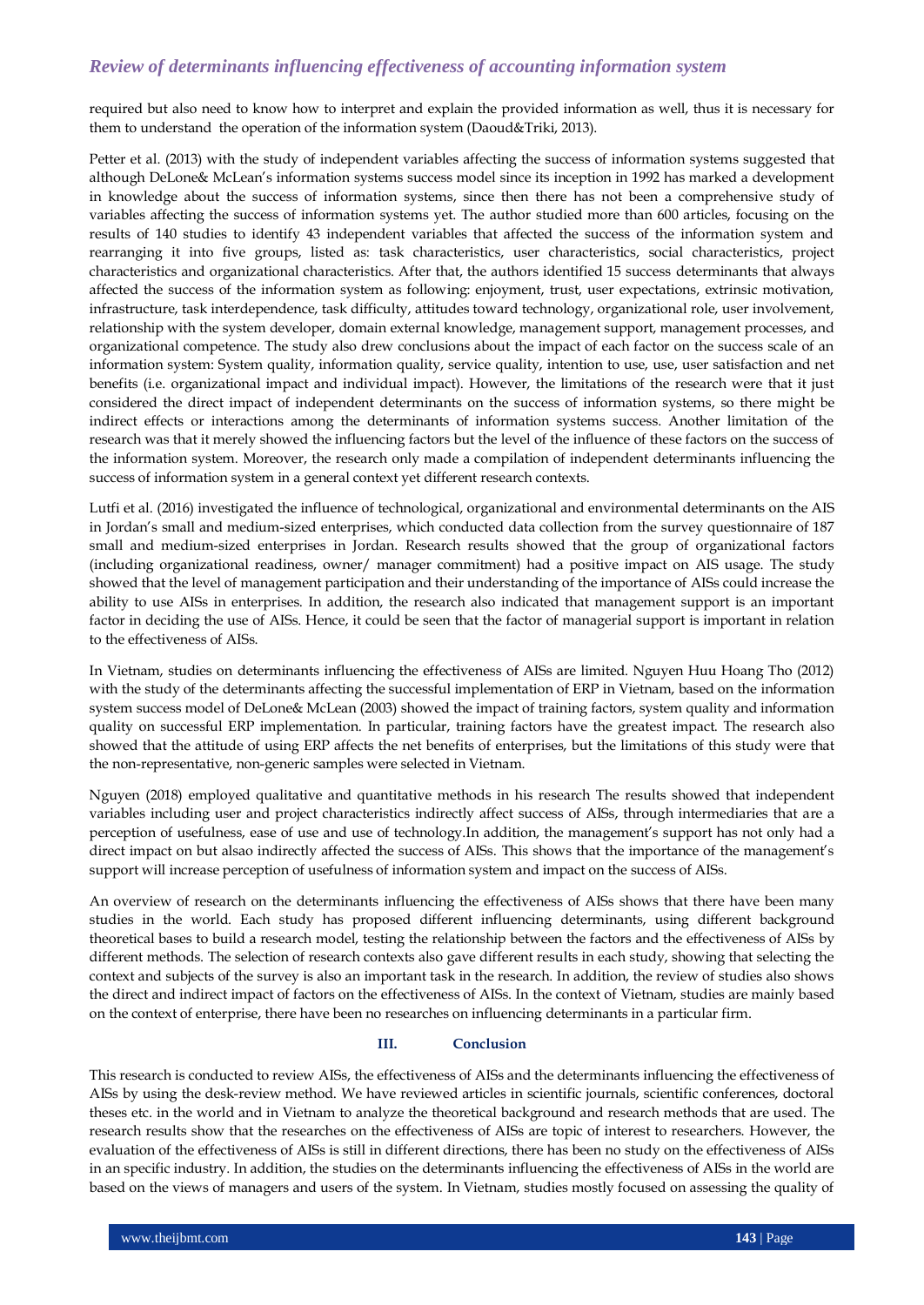required but also need to know how to interpret and explain the provided information as well, thus it is necessary for them to understand the operation of the information system (Daoud&Triki, 2013).

Petter et al. (2013) with the study of independent variables affecting the success of information systems suggested that although DeLone& McLean"s information systems success model since its inception in 1992 has marked a development in knowledge about the success of information systems, since then there has not been a comprehensive study of variables affecting the success of information systems yet. The author studied more than 600 articles, focusing on the results of 140 studies to identify 43 independent variables that affected the success of the information system and rearranging it into five groups, listed as: task characteristics, user characteristics, social characteristics, project characteristics and organizational characteristics. After that, the authors identified 15 success determinants that always affected the success of the information system as following: enjoyment, trust, user expectations, extrinsic motivation, infrastructure, task interdependence, task difficulty, attitudes toward technology, organizational role, user involvement, relationship with the system developer, domain external knowledge, management support, management processes, and organizational competence. The study also drew conclusions about the impact of each factor on the success scale of an information system: System quality, information quality, service quality, intention to use, use, user satisfaction and net benefits (i.e. organizational impact and individual impact). However, the limitations of the research were that it just considered the direct impact of independent determinants on the success of information systems, so there might be indirect effects or interactions among the determinants of information systems success. Another limitation of the research was that it merely showed the influencing factors but the level of the influence of these factors on the success of the information system. Moreover, the research only made a compilation of independent determinants influencing the success of information system in a general context yet different research contexts.

Lutfi et al. (2016) investigated the influence of technological, organizational and environmental determinants on the AIS in Jordan"s small and medium-sized enterprises, which conducted data collection from the survey questionnaire of 187 small and medium-sized enterprises in Jordan. Research results showed that the group of organizational factors (including organizational readiness, owner/ manager commitment) had a positive impact on AIS usage. The study showed that the level of management participation and their understanding of the importance of AISs could increase the ability to use AISs in enterprises. In addition, the research also indicated that management support is an important factor in deciding the use of AISs. Hence, it could be seen that the factor of managerial support is important in relation to the effectiveness of AISs.

In Vietnam, studies on determinants influencing the effectiveness of AISs are limited. Nguyen Huu Hoang Tho (2012) with the study of the determinants affecting the successful implementation of ERP in Vietnam, based on the information system success model of DeLone& McLean (2003) showed the impact of training factors, system quality and information quality on successful ERP implementation. In particular, training factors have the greatest impact. The research also showed that the attitude of using ERP affects the net benefits of enterprises, but the limitations of this study were that the non-representative, non-generic samples were selected in Vietnam.

Nguyen (2018) employed qualitative and quantitative methods in his research The results showed that independent variables including user and project characteristics indirectly affect success of AISs, through intermediaries that are a perception of usefulness, ease of use and use of technology.In addition, the management's support has not only had a direct impact on but alsao indirectly affected the success of AISs. This shows that the importance of the management's support will increase perception of usefulness of information system and impact on the success of AISs.

An overview of research on the determinants influencing the effectiveness of AISs shows that there have been many studies in the world. Each study has proposed different influencing determinants, using different background theoretical bases to build a research model, testing the relationship between the factors and the effectiveness of AISs by different methods. The selection of research contexts also gave different results in each study, showing that selecting the context and subjects of the survey is also an important task in the research. In addition, the review of studies also shows the direct and indirect impact of factors on the effectiveness of AISs. In the context of Vietnam, studies are mainly based on the context of enterprise, there have been no researches on influencing determinants in a particular firm.

## **III. Conclusion**

This research is conducted to review AISs, the effectiveness of AISs and the determinants influencing the effectiveness of AISs by using the desk-review method. We have reviewed articles in scientific journals, scientific conferences, doctoral theses etc. in the world and in Vietnam to analyze the theoretical background and research methods that are used. The research results show that the researches on the effectiveness of AISs are topic of interest to researchers. However, the evaluation of the effectiveness of AISs is still in different directions, there has been no study on the effectiveness of AISs in an specific industry. In addition, the studies on the determinants influencing the effectiveness of AISs in the world are based on the views of managers and users of the system. In Vietnam, studies mostly focused on assessing the quality of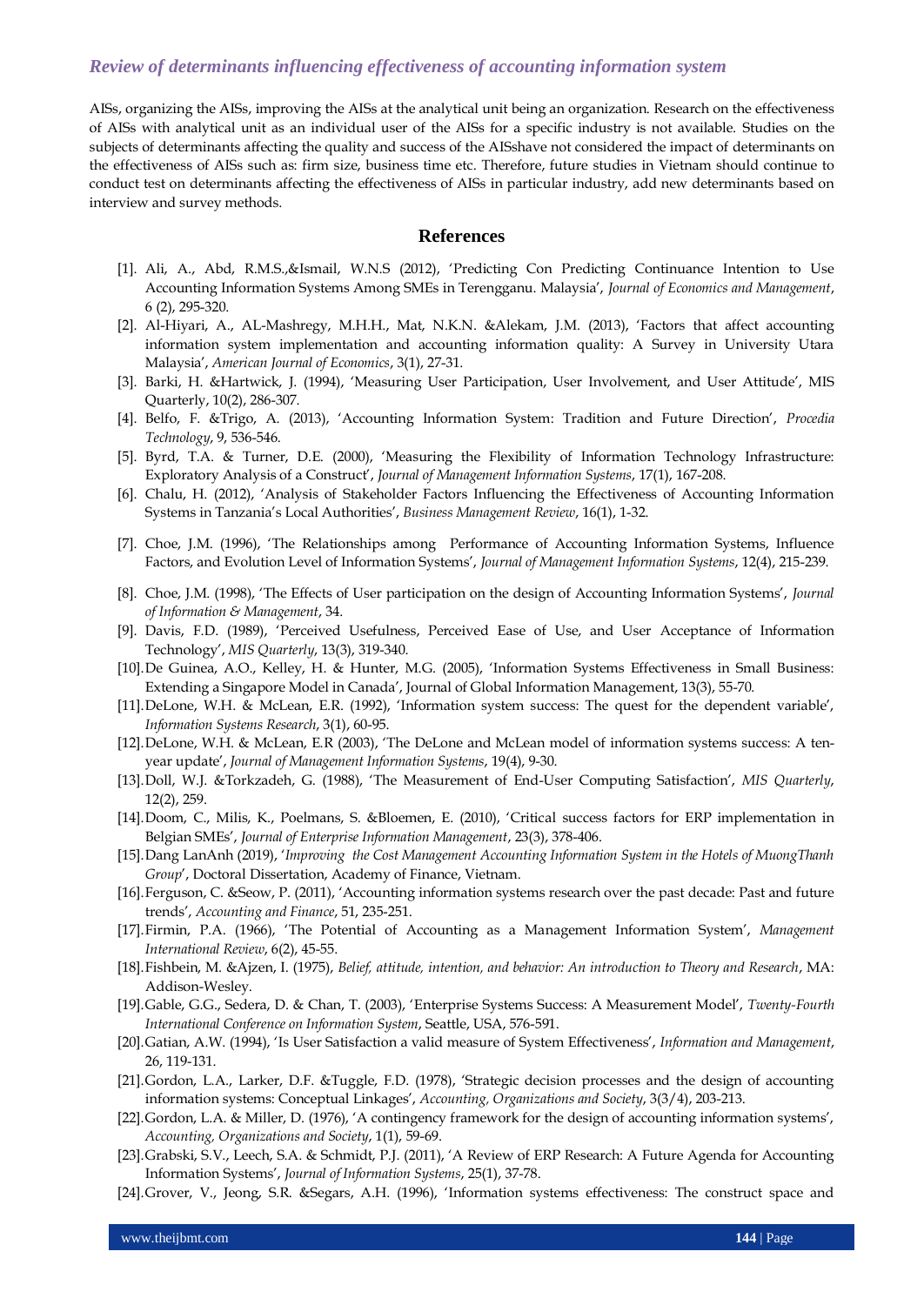AISs, organizing the AISs, improving the AISs at the analytical unit being an organization. Research on the effectiveness of AISs with analytical unit as an individual user of the AISs for a specific industry is not available. Studies on the subjects of determinants affecting the quality and success of the AISshave not considered the impact of determinants on the effectiveness of AISs such as: firm size, business time etc. Therefore, future studies in Vietnam should continue to conduct test on determinants affecting the effectiveness of AISs in particular industry, add new determinants based on interview and survey methods.

#### **References**

- [1]. Ali, A., Abd, R.M.S.,&Ismail, W.N.S (2012), "Predicting Con Predicting Continuance Intention to Use Accounting Information Systems Among SMEs in Terengganu. Malaysia", *Journal of Economics and Management*, 6 (2), 295-320.
- [2]. Al-Hiyari, A., AL-Mashregy, M.H.H., Mat, N.K.N. &Alekam, J.M. (2013), "Factors that affect accounting information system implementation and accounting information quality: A Survey in University Utara Malaysia", *American Journal of Economics*, 3(1), 27-31.
- [3]. Barki, H. &Hartwick, J. (1994), "Measuring User Participation, User Involvement, and User Attitude", MIS Quarterly, 10(2), 286-307.
- [4]. Belfo, F. &Trigo, A. (2013), "Accounting Information System: Tradition and Future Direction", *Procedia Technology*, 9, 536-546.
- [5]. Byrd, T.A. & Turner, D.E. (2000), "Measuring the Flexibility of Information Technology Infrastructure: Exploratory Analysis of a Construct", *Journal of Management Information Systems*, 17(1), 167-208.
- [6]. Chalu, H. (2012), "Analysis of Stakeholder Factors Influencing the Effectiveness of Accounting Information Systems in Tanzania"s Local Authorities", *Business Management Review*, 16(1), 1-32.
- [7]. Choe, J.M. (1996), "The Relationships among Performance of Accounting Information Systems, Influence Factors, and Evolution Level of Information Systems", *Journal of Management Information Systems*, 12(4), 215-239.
- [8]. Choe, J.M. (1998), "The Effects of User participation on the design of Accounting Information Systems", *Journal of Information & Management*, 34.
- [9]. Davis, F.D. (1989), "Perceived Usefulness, Perceived Ease of Use, and User Acceptance of Information Technology", *MIS Quarterly*, 13(3), 319-340.
- [10].De Guinea, A.O., Kelley, H. & Hunter, M.G. (2005), "Information Systems Effectiveness in Small Business: Extending a Singapore Model in Canada", Journal of Global Information Management, 13(3), 55-70.
- [11].DeLone, W.H. & McLean, E.R. (1992), "Information system success: The quest for the dependent variable", *Information Systems Research*, 3(1), 60-95.
- [12].DeLone, W.H. & McLean, E.R (2003), "The DeLone and McLean model of information systems success: A tenyear update", *Journal of Management Information Systems*, 19(4), 9-30.
- [13].Doll, W.J. &Torkzadeh, G. (1988), "The Measurement of End-User Computing Satisfaction", *MIS Quarterly*, 12(2), 259.
- [14].Doom, C., Milis, K., Poelmans, S. &Bloemen, E. (2010), "Critical success factors for ERP implementation in Belgian SMEs", *Journal of Enterprise Information Management*, 23(3), 378-406.
- [15].Dang LanAnh (2019), "*Improving the Cost Management Accounting Information System in the Hotels of MuongThanh Group*", Doctoral Dissertation, Academy of Finance, Vietnam.
- [16].Ferguson, C. &Seow, P. (2011), "Accounting information systems research over the past decade: Past and future trends", *Accounting and Finance*, 51, 235-251.
- [17].Firmin, P.A. (1966), "The Potential of Accounting as a Management Information System", *Management International Review*, 6(2), 45-55.
- [18].Fishbein, M. &Ajzen, I. (1975), *Belief, attitude, intention, and behavior: An introduction to Theory and Research*, MA: Addison-Wesley.
- [19].Gable, G.G., Sedera, D. & Chan, T. (2003), "Enterprise Systems Success: A Measurement Model", *Twenty-Fourth International Conference on Information System*, Seattle, USA, 576-591.
- [20].Gatian, A.W. (1994), "Is User Satisfaction a valid measure of System Effectiveness", *Information and Management*, 26, 119-131.
- [21].Gordon, L.A., Larker, D.F. &Tuggle, F.D. (1978), "Strategic decision processes and the design of accounting information systems: Conceptual Linkages", *Accounting, Organizations and Society*, 3(3/4), 203-213.
- [22].Gordon, L.A. & Miller, D. (1976), 'A contingency framework for the design of accounting information systems', *Accounting, Organizations and Society*, 1(1), 59-69.
- [23].Grabski, S.V., Leech, S.A. & Schmidt, P.J. (2011), "A Review of ERP Research: A Future Agenda for Accounting Information Systems", *Journal of Information Systems*, 25(1), 37-78.
- [24].Grover, V., Jeong, S.R. &Segars, A.H. (1996), "Information systems effectiveness: The construct space and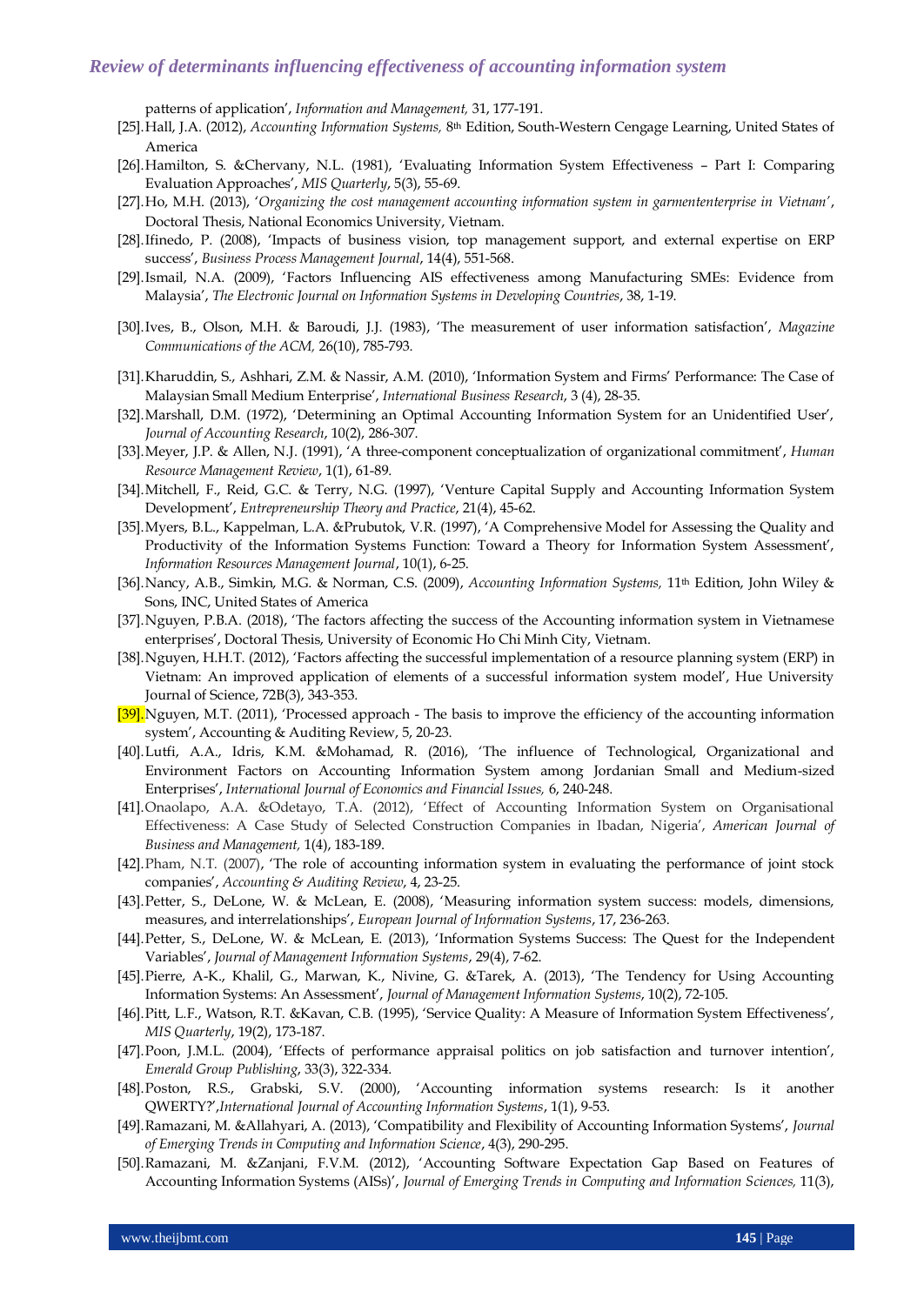patterns of application", *Information and Management,* 31, 177-191.

- [25].Hall, J.A. (2012), *Accounting Information Systems,* 8th Edition, South-Western Cengage Learning, United States of America
- [26].Hamilton, S. &Chervany, N.L. (1981), "Evaluating Information System Effectiveness Part I: Comparing Evaluation Approaches", *MIS Quarterly*, 5(3), 55-69.
- [27].Ho, M.H. (2013), "*Organizing the cost management accounting information system in garmententerprise in Vietnam'*, Doctoral Thesis, National Economics University, Vietnam.
- [28].Ifinedo, P. (2008), "Impacts of business vision, top management support, and external expertise on ERP success", *Business Process Management Journal*, 14(4), 551-568.
- [29].Ismail, N.A. (2009), "Factors Influencing AIS effectiveness among Manufacturing SMEs: Evidence from Malaysia", *The Electronic Journal on Information Systems in Developing Countries*, 38, 1-19.
- [30].Ives, B., Olson, M.H. & Baroudi, J.J. (1983), "The measurement of user information satisfaction", *Magazine Communications of the ACM,* 26(10), 785-793.
- [31].Kharuddin, S., Ashhari, Z.M. & Nassir, A.M. (2010), "Information System and Firms" Performance: The Case of Malaysian Small Medium Enterprise", *International Business Research*, 3 (4), 28-35.
- [32].Marshall, D.M. (1972), 'Determining an Optimal Accounting Information System for an Unidentified User', *Journal of Accounting Research*, 10(2), 286-307.
- [33].Meyer, J.P. & Allen, N.J. (1991), "A three-component conceptualization of organizational commitment", *Human Resource Management Review*, 1(1), 61-89.
- [34].Mitchell, F., Reid, G.C. & Terry, N.G. (1997), "Venture Capital Supply and Accounting Information System Development", *Entrepreneurship Theory and Practice*, 21(4), 45-62.
- [35].Myers, B.L., Kappelman, L.A. &Prubutok, V.R. (1997), "A Comprehensive Model for Assessing the Quality and Productivity of the Information Systems Function: Toward a Theory for Information System Assessment', *Information Resources Management Journal*, 10(1), 6-25.
- [36].Nancy, A.B., Simkin, M.G. & Norman, C.S. (2009), *Accounting Information Systems,* 11th Edition, John Wiley & Sons, INC, United States of America
- [37].Nguyen, P.B.A. (2018), "The factors affecting the success of the Accounting information system in Vietnamese enterprises", Doctoral Thesis, University of Economic Ho Chi Minh City, Vietnam.
- [38].Nguyen, H.H.T. (2012), "Factors affecting the successful implementation of a resource planning system (ERP) in Vietnam: An improved application of elements of a successful information system model", Hue University Journal of Science, 72B(3), 343-353.
- [39]. Nguyen, M.T. (2011), 'Processed approach The basis to improve the efficiency of the accounting information system", Accounting & Auditing Review, 5, 20-23.
- [40].Lutfi, A.A., Idris, K.M. &Mohamad, R. (2016), "The influence of Technological, Organizational and Environment Factors on Accounting Information System among Jordanian Small and Medium-sized Enterprises", *International Journal of Economics and Financial Issues,* 6, 240-248.
- [41].Onaolapo, A.A. &Odetayo, T.A. (2012), "Effect of Accounting Information System on Organisational Effectiveness: A Case Study of Selected Construction Companies in Ibadan, Nigeria', American Journal of *Business and Management,* 1(4), 183-189.
- [42].Pham, N.T. (2007), "The role of accounting information system in evaluating the performance of joint stock companies", *Accounting & Auditing Review*, 4, 23-25.
- [43].Petter, S., DeLone, W. & McLean, E. (2008), "Measuring information system success: models, dimensions, measures, and interrelationships", *European Journal of Information Systems*, 17, 236-263.
- [44].Petter, S., DeLone, W. & McLean, E. (2013), "Information Systems Success: The Quest for the Independent Variables", *Journal of Management Information Systems*, 29(4), 7-62.
- [45].Pierre, A-K., Khalil, G., Marwan, K., Nivine, G. &Tarek, A. (2013), "The Tendency for Using Accounting Information Systems: An Assessment", *Journal of Management Information Systems*, 10(2), 72-105.
- [46].Pitt, L.F., Watson, R.T. &Kavan, C.B. (1995), "Service Quality: A Measure of Information System Effectiveness", *MIS Quarterly*, 19(2), 173-187.
- [47]. Poon, J.M.L. (2004), 'Effects of performance appraisal politics on job satisfaction and turnover intention', *Emerald Group Publishing*, 33(3), 322-334.
- [48].Poston, R.S., Grabski, S.V. (2000), "Accounting information systems research: Is it another QWERTY?",*International Journal of Accounting Information Systems*, 1(1), 9-53.
- [49].Ramazani, M. &Allahyari, A. (2013), "Compatibility and Flexibility of Accounting Information Systems", *Journal of Emerging Trends in Computing and Information Science*, 4(3), 290-295.
- [50].Ramazani, M. &Zanjani, F.V.M. (2012), "Accounting Software Expectation Gap Based on Features of Accounting Information Systems (AISs)", *Journal of Emerging Trends in Computing and Information Sciences,* 11(3),